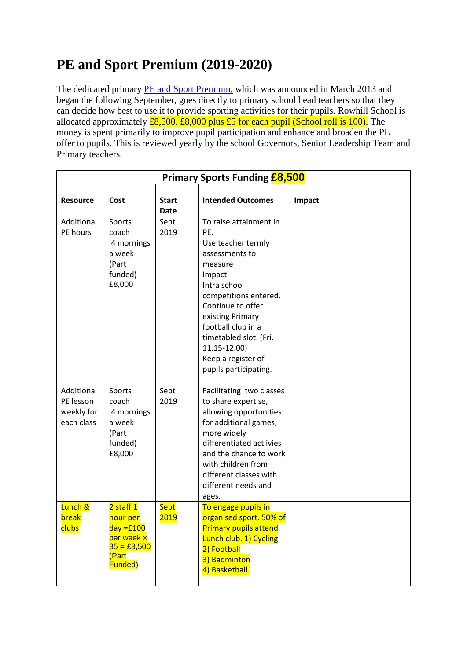## **PE and Sport Premium (2019-2020)**

The dedicated primary **PE** and Sport Premium, which was announced in March 2013 and began the following September, goes directly to primary school head teachers so that they can decide how best to use it to provide sporting activities for their pupils. Rowhill School is allocated approximately  $\pounds8,500. \pounds8,000$  plus  $\pounds5$  for each pupil (School roll is 100). The money is spent primarily to improve pupil participation and enhance and broaden the PE offer to pupils. This is reviewed yearly by the school Governors, Senior Leadership Team and Primary teachers.

| <b>Primary Sports Funding £8,500</b>                |                                                                                          |                             |                                                                                                                                                                                                                                                                                              |        |  |  |  |  |
|-----------------------------------------------------|------------------------------------------------------------------------------------------|-----------------------------|----------------------------------------------------------------------------------------------------------------------------------------------------------------------------------------------------------------------------------------------------------------------------------------------|--------|--|--|--|--|
| <b>Resource</b>                                     | Cost                                                                                     | <b>Start</b><br><b>Date</b> | <b>Intended Outcomes</b>                                                                                                                                                                                                                                                                     | Impact |  |  |  |  |
| Additional<br>PE hours                              | Sports<br>coach<br>4 mornings<br>a week<br>(Part<br>funded)<br>£8,000                    | Sept<br>2019                | To raise attainment in<br>PE.<br>Use teacher termly<br>assessments to<br>measure<br>Impact.<br>Intra school<br>competitions entered.<br>Continue to offer<br>existing Primary<br>football club in a<br>timetabled slot. (Fri.<br>11.15-12.00)<br>Keep a register of<br>pupils participating. |        |  |  |  |  |
| Additional<br>PE lesson<br>weekly for<br>each class | Sports<br>coach<br>4 mornings<br>a week<br>(Part<br>funded)<br>£8,000                    | Sept<br>2019                | Facilitating two classes<br>to share expertise,<br>allowing opportunities<br>for additional games,<br>more widely<br>differentiated act ivies<br>and the chance to work<br>with children from<br>different classes with<br>different needs and<br>ages.                                      |        |  |  |  |  |
| Lunch &<br>break<br>clubs                           | 2 staff 1<br>hour per<br>$day = £100$<br>per week x<br>$35 = £3,500$<br>(Part<br>Funded) | <b>Sept</b><br>2019         | To engage pupils in<br>organised sport. 50% of<br><b>Primary pupils attend</b><br>Lunch club. 1) Cycling<br>2) Football<br>3) Badminton<br>4) Basketball.                                                                                                                                    |        |  |  |  |  |